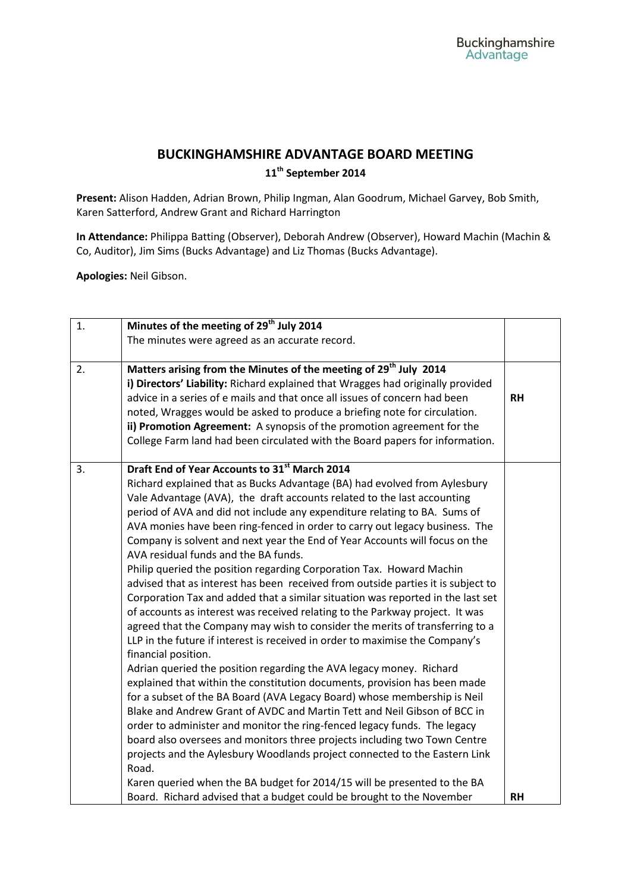## **BUCKINGHAMSHIRE ADVANTAGE BOARD MEETING**

**11th September 2014**

**Present:** Alison Hadden, Adrian Brown, Philip Ingman, Alan Goodrum, Michael Garvey, Bob Smith, Karen Satterford, Andrew Grant and Richard Harrington

**In Attendance:** Philippa Batting (Observer), Deborah Andrew (Observer), Howard Machin (Machin & Co, Auditor), Jim Sims (Bucks Advantage) and Liz Thomas (Bucks Advantage).

**Apologies:** Neil Gibson.

| 1. | Minutes of the meeting of 29 <sup>th</sup> July 2014                             |           |
|----|----------------------------------------------------------------------------------|-----------|
|    | The minutes were agreed as an accurate record.                                   |           |
|    |                                                                                  |           |
| 2. | Matters arising from the Minutes of the meeting of 29 <sup>th</sup> July 2014    |           |
|    | i) Directors' Liability: Richard explained that Wragges had originally provided  |           |
|    | advice in a series of e mails and that once all issues of concern had been       | <b>RH</b> |
|    | noted, Wragges would be asked to produce a briefing note for circulation.        |           |
|    | ii) Promotion Agreement: A synopsis of the promotion agreement for the           |           |
|    | College Farm land had been circulated with the Board papers for information.     |           |
| 3. | Draft End of Year Accounts to 31st March 2014                                    |           |
|    | Richard explained that as Bucks Advantage (BA) had evolved from Aylesbury        |           |
|    | Vale Advantage (AVA), the draft accounts related to the last accounting          |           |
|    | period of AVA and did not include any expenditure relating to BA. Sums of        |           |
|    | AVA monies have been ring-fenced in order to carry out legacy business. The      |           |
|    | Company is solvent and next year the End of Year Accounts will focus on the      |           |
|    | AVA residual funds and the BA funds.                                             |           |
|    | Philip queried the position regarding Corporation Tax. Howard Machin             |           |
|    | advised that as interest has been received from outside parties it is subject to |           |
|    | Corporation Tax and added that a similar situation was reported in the last set  |           |
|    | of accounts as interest was received relating to the Parkway project. It was     |           |
|    | agreed that the Company may wish to consider the merits of transferring to a     |           |
|    | LLP in the future if interest is received in order to maximise the Company's     |           |
|    | financial position.                                                              |           |
|    | Adrian queried the position regarding the AVA legacy money. Richard              |           |
|    | explained that within the constitution documents, provision has been made        |           |
|    | for a subset of the BA Board (AVA Legacy Board) whose membership is Neil         |           |
|    | Blake and Andrew Grant of AVDC and Martin Tett and Neil Gibson of BCC in         |           |
|    | order to administer and monitor the ring-fenced legacy funds. The legacy         |           |
|    | board also oversees and monitors three projects including two Town Centre        |           |
|    | projects and the Aylesbury Woodlands project connected to the Eastern Link       |           |
|    | Road.                                                                            |           |
|    | Karen queried when the BA budget for 2014/15 will be presented to the BA         |           |
|    | Board. Richard advised that a budget could be brought to the November            | <b>RH</b> |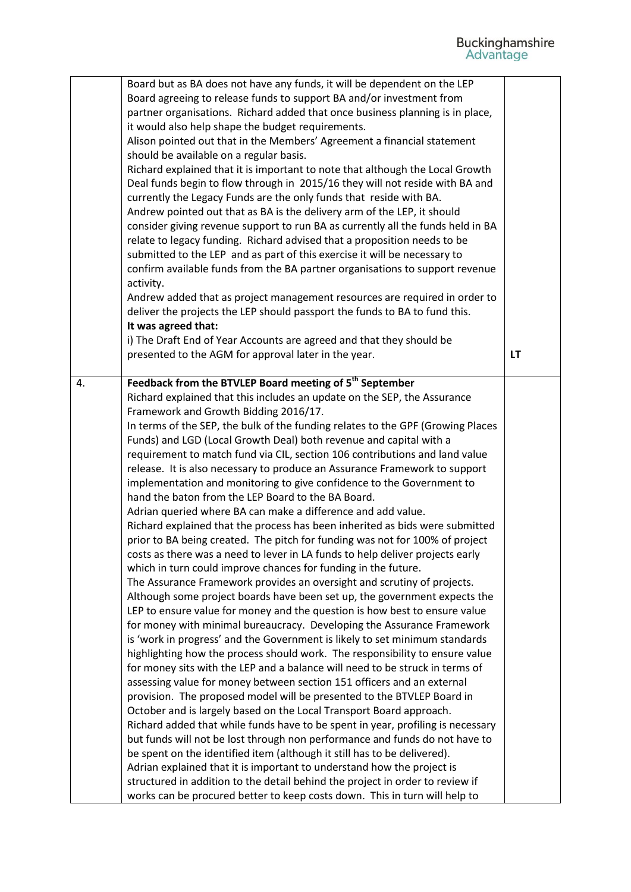|    | Board but as BA does not have any funds, it will be dependent on the LEP<br>Board agreeing to release funds to support BA and/or investment from<br>partner organisations. Richard added that once business planning is in place,<br>it would also help shape the budget requirements.<br>Alison pointed out that in the Members' Agreement a financial statement<br>should be available on a regular basis.<br>Richard explained that it is important to note that although the Local Growth<br>Deal funds begin to flow through in 2015/16 they will not reside with BA and<br>currently the Legacy Funds are the only funds that reside with BA.<br>Andrew pointed out that as BA is the delivery arm of the LEP, it should<br>consider giving revenue support to run BA as currently all the funds held in BA<br>relate to legacy funding. Richard advised that a proposition needs to be<br>submitted to the LEP and as part of this exercise it will be necessary to<br>confirm available funds from the BA partner organisations to support revenue<br>activity.<br>Andrew added that as project management resources are required in order to<br>deliver the projects the LEP should passport the funds to BA to fund this.<br>It was agreed that:                                                                                                                                                                                                                                                                                                                                                                                                                                                                                                                                                                                                                                                                                                                                                                                                                                                                                                                                                                                                                                                        |           |
|----|-------------------------------------------------------------------------------------------------------------------------------------------------------------------------------------------------------------------------------------------------------------------------------------------------------------------------------------------------------------------------------------------------------------------------------------------------------------------------------------------------------------------------------------------------------------------------------------------------------------------------------------------------------------------------------------------------------------------------------------------------------------------------------------------------------------------------------------------------------------------------------------------------------------------------------------------------------------------------------------------------------------------------------------------------------------------------------------------------------------------------------------------------------------------------------------------------------------------------------------------------------------------------------------------------------------------------------------------------------------------------------------------------------------------------------------------------------------------------------------------------------------------------------------------------------------------------------------------------------------------------------------------------------------------------------------------------------------------------------------------------------------------------------------------------------------------------------------------------------------------------------------------------------------------------------------------------------------------------------------------------------------------------------------------------------------------------------------------------------------------------------------------------------------------------------------------------------------------------------------------------------------------------------------------------------------------|-----------|
|    | i) The Draft End of Year Accounts are agreed and that they should be<br>presented to the AGM for approval later in the year.                                                                                                                                                                                                                                                                                                                                                                                                                                                                                                                                                                                                                                                                                                                                                                                                                                                                                                                                                                                                                                                                                                                                                                                                                                                                                                                                                                                                                                                                                                                                                                                                                                                                                                                                                                                                                                                                                                                                                                                                                                                                                                                                                                                      | <b>LT</b> |
| 4. | Feedback from the BTVLEP Board meeting of 5 <sup>th</sup> September<br>Richard explained that this includes an update on the SEP, the Assurance<br>Framework and Growth Bidding 2016/17.<br>In terms of the SEP, the bulk of the funding relates to the GPF (Growing Places<br>Funds) and LGD (Local Growth Deal) both revenue and capital with a<br>requirement to match fund via CIL, section 106 contributions and land value<br>release. It is also necessary to produce an Assurance Framework to support<br>implementation and monitoring to give confidence to the Government to<br>hand the baton from the LEP Board to the BA Board.<br>Adrian queried where BA can make a difference and add value.<br>Richard explained that the process has been inherited as bids were submitted<br>prior to BA being created. The pitch for funding was not for 100% of project<br>costs as there was a need to lever in LA funds to help deliver projects early<br>which in turn could improve chances for funding in the future.<br>The Assurance Framework provides an oversight and scrutiny of projects.<br>Although some project boards have been set up, the government expects the<br>LEP to ensure value for money and the question is how best to ensure value<br>for money with minimal bureaucracy. Developing the Assurance Framework<br>is 'work in progress' and the Government is likely to set minimum standards<br>highlighting how the process should work. The responsibility to ensure value<br>for money sits with the LEP and a balance will need to be struck in terms of<br>assessing value for money between section 151 officers and an external<br>provision. The proposed model will be presented to the BTVLEP Board in<br>October and is largely based on the Local Transport Board approach.<br>Richard added that while funds have to be spent in year, profiling is necessary<br>but funds will not be lost through non performance and funds do not have to<br>be spent on the identified item (although it still has to be delivered).<br>Adrian explained that it is important to understand how the project is<br>structured in addition to the detail behind the project in order to review if<br>works can be procured better to keep costs down. This in turn will help to |           |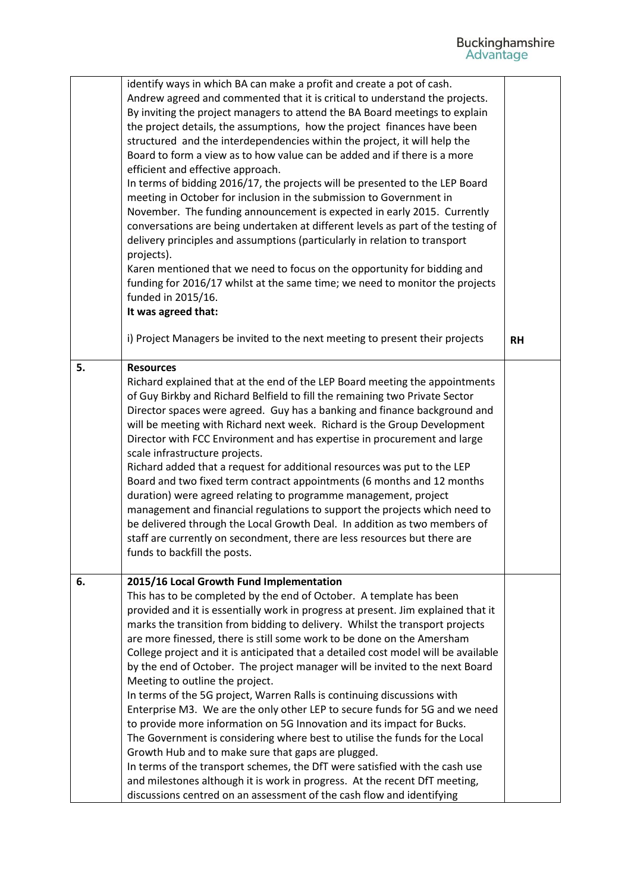|    | identify ways in which BA can make a profit and create a pot of cash.<br>Andrew agreed and commented that it is critical to understand the projects.<br>By inviting the project managers to attend the BA Board meetings to explain<br>the project details, the assumptions, how the project finances have been<br>structured and the interdependencies within the project, it will help the<br>Board to form a view as to how value can be added and if there is a more<br>efficient and effective approach.<br>In terms of bidding 2016/17, the projects will be presented to the LEP Board<br>meeting in October for inclusion in the submission to Government in<br>November. The funding announcement is expected in early 2015. Currently<br>conversations are being undertaken at different levels as part of the testing of<br>delivery principles and assumptions (particularly in relation to transport<br>projects).<br>Karen mentioned that we need to focus on the opportunity for bidding and<br>funding for 2016/17 whilst at the same time; we need to monitor the projects<br>funded in 2015/16.<br>It was agreed that:                                               |           |
|----|----------------------------------------------------------------------------------------------------------------------------------------------------------------------------------------------------------------------------------------------------------------------------------------------------------------------------------------------------------------------------------------------------------------------------------------------------------------------------------------------------------------------------------------------------------------------------------------------------------------------------------------------------------------------------------------------------------------------------------------------------------------------------------------------------------------------------------------------------------------------------------------------------------------------------------------------------------------------------------------------------------------------------------------------------------------------------------------------------------------------------------------------------------------------------------------|-----------|
|    | i) Project Managers be invited to the next meeting to present their projects                                                                                                                                                                                                                                                                                                                                                                                                                                                                                                                                                                                                                                                                                                                                                                                                                                                                                                                                                                                                                                                                                                           | <b>RH</b> |
| 5. | <b>Resources</b><br>Richard explained that at the end of the LEP Board meeting the appointments<br>of Guy Birkby and Richard Belfield to fill the remaining two Private Sector<br>Director spaces were agreed. Guy has a banking and finance background and<br>will be meeting with Richard next week. Richard is the Group Development<br>Director with FCC Environment and has expertise in procurement and large<br>scale infrastructure projects.<br>Richard added that a request for additional resources was put to the LEP<br>Board and two fixed term contract appointments (6 months and 12 months<br>duration) were agreed relating to programme management, project<br>management and financial regulations to support the projects which need to<br>be delivered through the Local Growth Deal. In addition as two members of<br>staff are currently on secondment, there are less resources but there are<br>funds to backfill the posts.                                                                                                                                                                                                                                 |           |
| 6. | 2015/16 Local Growth Fund Implementation<br>This has to be completed by the end of October. A template has been<br>provided and it is essentially work in progress at present. Jim explained that it<br>marks the transition from bidding to delivery. Whilst the transport projects<br>are more finessed, there is still some work to be done on the Amersham<br>College project and it is anticipated that a detailed cost model will be available<br>by the end of October. The project manager will be invited to the next Board<br>Meeting to outline the project.<br>In terms of the 5G project, Warren Ralls is continuing discussions with<br>Enterprise M3. We are the only other LEP to secure funds for 5G and we need<br>to provide more information on 5G Innovation and its impact for Bucks.<br>The Government is considering where best to utilise the funds for the Local<br>Growth Hub and to make sure that gaps are plugged.<br>In terms of the transport schemes, the DfT were satisfied with the cash use<br>and milestones although it is work in progress. At the recent DfT meeting,<br>discussions centred on an assessment of the cash flow and identifying |           |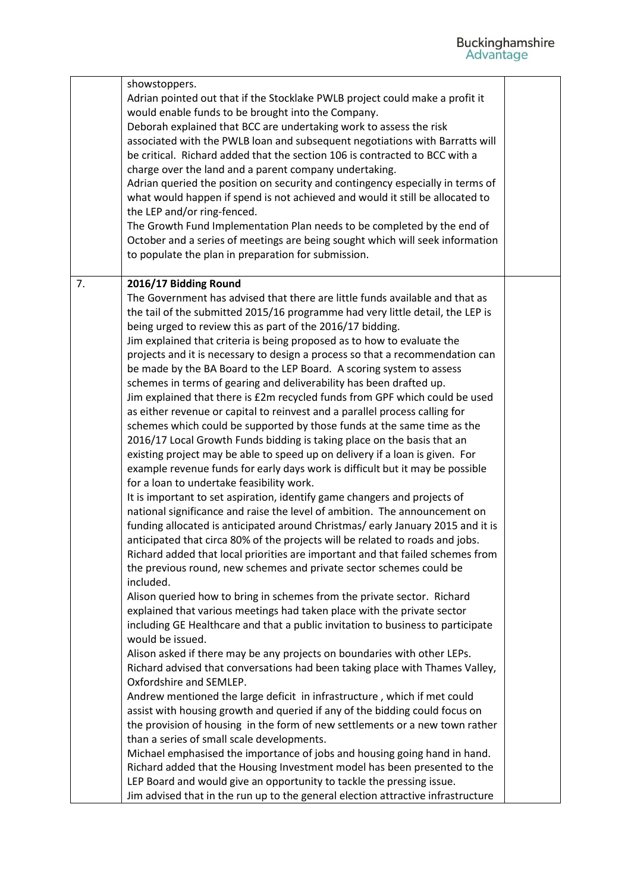|    | showstoppers.<br>Adrian pointed out that if the Stocklake PWLB project could make a profit it<br>would enable funds to be brought into the Company.<br>Deborah explained that BCC are undertaking work to assess the risk<br>associated with the PWLB loan and subsequent negotiations with Barratts will<br>be critical. Richard added that the section 106 is contracted to BCC with a<br>charge over the land and a parent company undertaking.<br>Adrian queried the position on security and contingency especially in terms of<br>what would happen if spend is not achieved and would it still be allocated to<br>the LEP and/or ring-fenced.<br>The Growth Fund Implementation Plan needs to be completed by the end of<br>October and a series of meetings are being sought which will seek information<br>to populate the plan in preparation for submission. |  |
|----|-------------------------------------------------------------------------------------------------------------------------------------------------------------------------------------------------------------------------------------------------------------------------------------------------------------------------------------------------------------------------------------------------------------------------------------------------------------------------------------------------------------------------------------------------------------------------------------------------------------------------------------------------------------------------------------------------------------------------------------------------------------------------------------------------------------------------------------------------------------------------|--|
| 7. | 2016/17 Bidding Round                                                                                                                                                                                                                                                                                                                                                                                                                                                                                                                                                                                                                                                                                                                                                                                                                                                   |  |
|    | The Government has advised that there are little funds available and that as                                                                                                                                                                                                                                                                                                                                                                                                                                                                                                                                                                                                                                                                                                                                                                                            |  |
|    | the tail of the submitted 2015/16 programme had very little detail, the LEP is                                                                                                                                                                                                                                                                                                                                                                                                                                                                                                                                                                                                                                                                                                                                                                                          |  |
|    | being urged to review this as part of the 2016/17 bidding.<br>Jim explained that criteria is being proposed as to how to evaluate the                                                                                                                                                                                                                                                                                                                                                                                                                                                                                                                                                                                                                                                                                                                                   |  |
|    | projects and it is necessary to design a process so that a recommendation can                                                                                                                                                                                                                                                                                                                                                                                                                                                                                                                                                                                                                                                                                                                                                                                           |  |
|    | be made by the BA Board to the LEP Board. A scoring system to assess                                                                                                                                                                                                                                                                                                                                                                                                                                                                                                                                                                                                                                                                                                                                                                                                    |  |
|    | schemes in terms of gearing and deliverability has been drafted up.                                                                                                                                                                                                                                                                                                                                                                                                                                                                                                                                                                                                                                                                                                                                                                                                     |  |
|    | Jim explained that there is £2m recycled funds from GPF which could be used                                                                                                                                                                                                                                                                                                                                                                                                                                                                                                                                                                                                                                                                                                                                                                                             |  |
|    | as either revenue or capital to reinvest and a parallel process calling for                                                                                                                                                                                                                                                                                                                                                                                                                                                                                                                                                                                                                                                                                                                                                                                             |  |
|    | schemes which could be supported by those funds at the same time as the                                                                                                                                                                                                                                                                                                                                                                                                                                                                                                                                                                                                                                                                                                                                                                                                 |  |
|    | 2016/17 Local Growth Funds bidding is taking place on the basis that an                                                                                                                                                                                                                                                                                                                                                                                                                                                                                                                                                                                                                                                                                                                                                                                                 |  |
|    | existing project may be able to speed up on delivery if a loan is given. For                                                                                                                                                                                                                                                                                                                                                                                                                                                                                                                                                                                                                                                                                                                                                                                            |  |
|    | example revenue funds for early days work is difficult but it may be possible<br>for a loan to undertake feasibility work.                                                                                                                                                                                                                                                                                                                                                                                                                                                                                                                                                                                                                                                                                                                                              |  |
|    | It is important to set aspiration, identify game changers and projects of                                                                                                                                                                                                                                                                                                                                                                                                                                                                                                                                                                                                                                                                                                                                                                                               |  |
|    | national significance and raise the level of ambition. The announcement on                                                                                                                                                                                                                                                                                                                                                                                                                                                                                                                                                                                                                                                                                                                                                                                              |  |
|    | funding allocated is anticipated around Christmas/early January 2015 and it is                                                                                                                                                                                                                                                                                                                                                                                                                                                                                                                                                                                                                                                                                                                                                                                          |  |
|    | anticipated that circa 80% of the projects will be related to roads and jobs.                                                                                                                                                                                                                                                                                                                                                                                                                                                                                                                                                                                                                                                                                                                                                                                           |  |
|    | Richard added that local priorities are important and that failed schemes from                                                                                                                                                                                                                                                                                                                                                                                                                                                                                                                                                                                                                                                                                                                                                                                          |  |
|    | the previous round, new schemes and private sector schemes could be                                                                                                                                                                                                                                                                                                                                                                                                                                                                                                                                                                                                                                                                                                                                                                                                     |  |
|    | included.                                                                                                                                                                                                                                                                                                                                                                                                                                                                                                                                                                                                                                                                                                                                                                                                                                                               |  |
|    | Alison queried how to bring in schemes from the private sector. Richard                                                                                                                                                                                                                                                                                                                                                                                                                                                                                                                                                                                                                                                                                                                                                                                                 |  |
|    | explained that various meetings had taken place with the private sector                                                                                                                                                                                                                                                                                                                                                                                                                                                                                                                                                                                                                                                                                                                                                                                                 |  |
|    | including GE Healthcare and that a public invitation to business to participate<br>would be issued.                                                                                                                                                                                                                                                                                                                                                                                                                                                                                                                                                                                                                                                                                                                                                                     |  |
|    | Alison asked if there may be any projects on boundaries with other LEPs.                                                                                                                                                                                                                                                                                                                                                                                                                                                                                                                                                                                                                                                                                                                                                                                                |  |
|    | Richard advised that conversations had been taking place with Thames Valley,                                                                                                                                                                                                                                                                                                                                                                                                                                                                                                                                                                                                                                                                                                                                                                                            |  |
|    | Oxfordshire and SEMLEP.                                                                                                                                                                                                                                                                                                                                                                                                                                                                                                                                                                                                                                                                                                                                                                                                                                                 |  |
|    | Andrew mentioned the large deficit in infrastructure, which if met could                                                                                                                                                                                                                                                                                                                                                                                                                                                                                                                                                                                                                                                                                                                                                                                                |  |
|    | assist with housing growth and queried if any of the bidding could focus on                                                                                                                                                                                                                                                                                                                                                                                                                                                                                                                                                                                                                                                                                                                                                                                             |  |
|    | the provision of housing in the form of new settlements or a new town rather                                                                                                                                                                                                                                                                                                                                                                                                                                                                                                                                                                                                                                                                                                                                                                                            |  |
|    | than a series of small scale developments.                                                                                                                                                                                                                                                                                                                                                                                                                                                                                                                                                                                                                                                                                                                                                                                                                              |  |
|    | Michael emphasised the importance of jobs and housing going hand in hand.                                                                                                                                                                                                                                                                                                                                                                                                                                                                                                                                                                                                                                                                                                                                                                                               |  |
|    | Richard added that the Housing Investment model has been presented to the                                                                                                                                                                                                                                                                                                                                                                                                                                                                                                                                                                                                                                                                                                                                                                                               |  |
|    | LEP Board and would give an opportunity to tackle the pressing issue.                                                                                                                                                                                                                                                                                                                                                                                                                                                                                                                                                                                                                                                                                                                                                                                                   |  |
|    | Jim advised that in the run up to the general election attractive infrastructure                                                                                                                                                                                                                                                                                                                                                                                                                                                                                                                                                                                                                                                                                                                                                                                        |  |